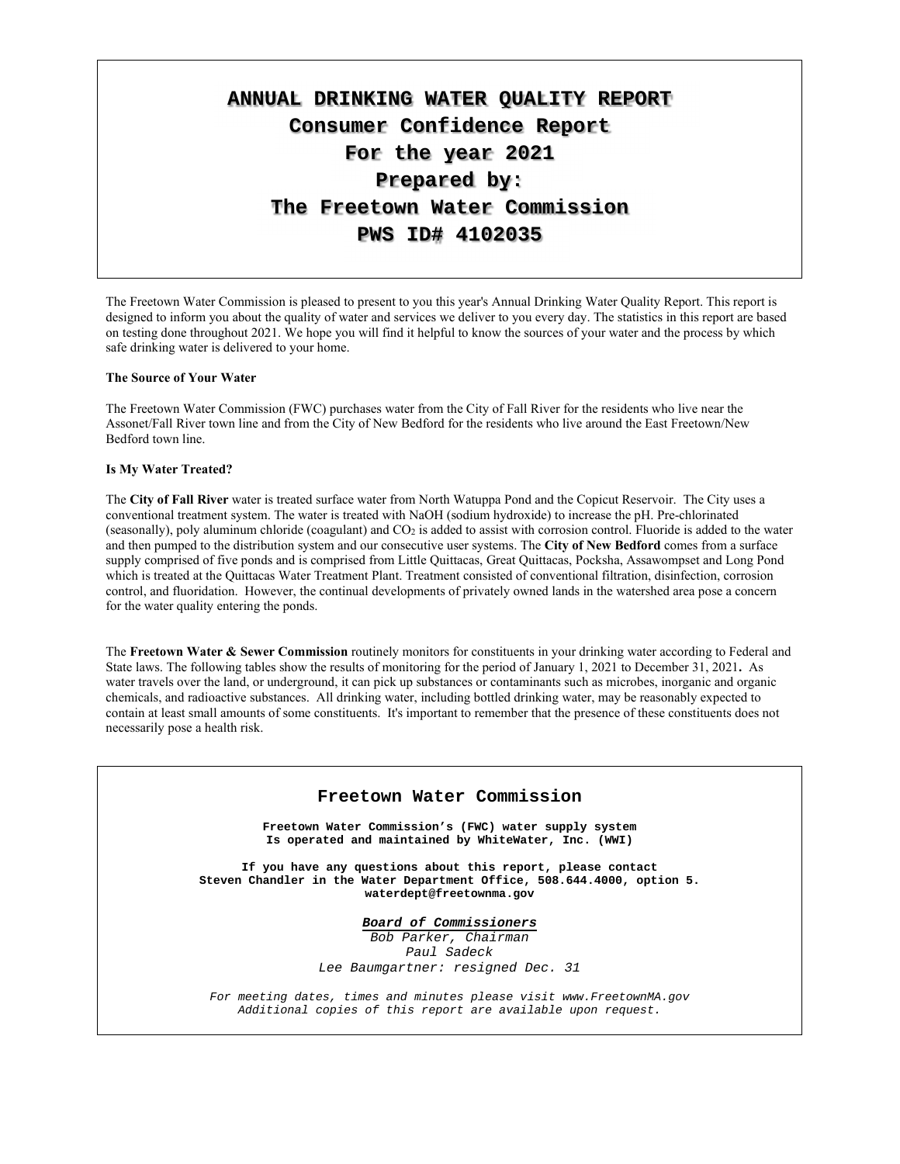# **ANNUAL DRINKING WATER QUALITY REPORT Consumer Confidence Report For the year 2021 Prepared by: The Freetown Water Commission PWS ID# 4102035**

The Freetown Water Commission is pleased to present to you this year's Annual Drinking Water Quality Report. This report is designed to inform you about the quality of water and services we deliver to you every day. The statistics in this report are based on testing done throughout 2021. We hope you will find it helpful to know the sources of your water and the process by which safe drinking water is delivered to your home.

#### **The Source of Your Water**

The Freetown Water Commission (FWC) purchases water from the City of Fall River for the residents who live near the Assonet/Fall River town line and from the City of New Bedford for the residents who live around the East Freetown/New Bedford town line.

#### **Is My Water Treated?**

The **City of Fall River** water is treated surface water from North Watuppa Pond and the Copicut Reservoir. The City uses a conventional treatment system. The water is treated with NaOH (sodium hydroxide) to increase the pH. Pre-chlorinated (seasonally), poly aluminum chloride (coagulant) and CO2 is added to assist with corrosion control. Fluoride is added to the water and then pumped to the distribution system and our consecutive user systems. The **City of New Bedford** comes from a surface supply comprised of five ponds and is comprised from Little Quittacas, Great Quittacas, Pocksha, Assawompset and Long Pond which is treated at the Quittacas Water Treatment Plant. Treatment consisted of conventional filtration, disinfection, corrosion control, and fluoridation. However, the continual developments of privately owned lands in the watershed area pose a concern for the water quality entering the ponds.

The **Freetown Water & Sewer Commission** routinely monitors for constituents in your drinking water according to Federal and State laws. The following tables show the results of monitoring for the period of January 1, 2021 to December 31, 2021**.** As water travels over the land, or underground, it can pick up substances or contaminants such as microbes, inorganic and organic chemicals, and radioactive substances. All drinking water, including bottled drinking water, may be reasonably expected to contain at least small amounts of some constituents. It's important to remember that the presence of these constituents does not necessarily pose a health risk.

#### **Freetown Water Commission**

**Freetown Water Commission's (FWC) water supply system Is operated and maintained by WhiteWater, Inc. (WWI)** 

**If you have any questions about this report, please contact Steven Chandler in the Water Department Office, 508.644.4000, option 5. waterdept@freetownma.gov** 

**Board of Commissioners** 

Bob Parker, Chairman Paul Sadeck Lee Baumgartner: resigned Dec. 31

For meeting dates, times and minutes please visit www.FreetownMA.gov Additional copies of this report are available upon request.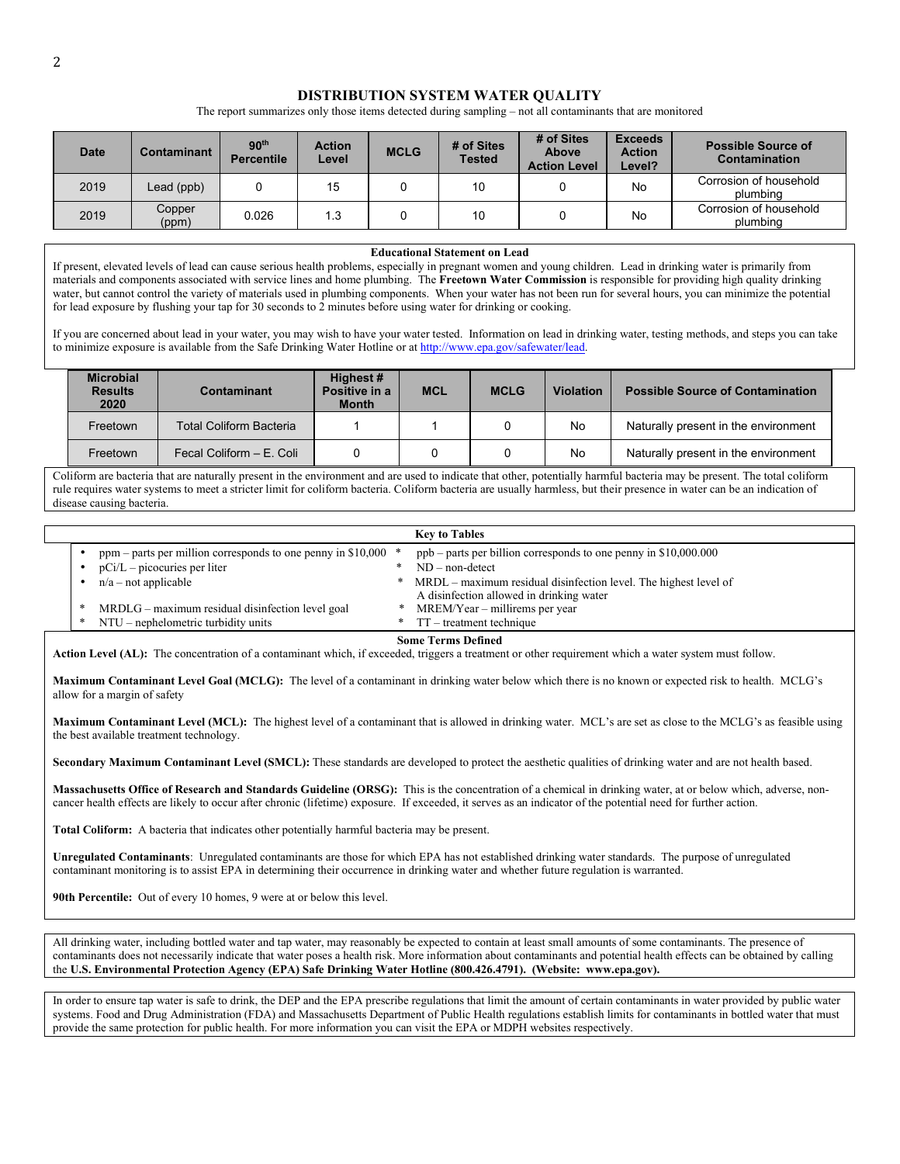#### **DISTRIBUTION SYSTEM WATER QUALITY**

The report summarizes only those items detected during sampling – not all contaminants that are monitored

| <b>Date</b> | Contaminant     | 90 <sup>th</sup><br><b>Percentile</b> | <b>Action</b><br>Level | <b>MCLG</b> | # of Sites<br><b>Tested</b> | # of Sites<br><b>Above</b><br><b>Action Level</b> | <b>Exceeds</b><br><b>Action</b><br>Level? | <b>Possible Source of</b><br>Contamination |
|-------------|-----------------|---------------------------------------|------------------------|-------------|-----------------------------|---------------------------------------------------|-------------------------------------------|--------------------------------------------|
| 2019        | Lead (ppb)      |                                       | 15                     |             | 10                          |                                                   | No                                        | Corrosion of household<br>plumbina         |
| 2019        | Copper<br>(ppm) | 0.026                                 | 1.3                    |             | 10                          |                                                   | No                                        | Corrosion of household<br>plumbina         |

#### **Educational Statement on Lead**

If present, elevated levels of lead can cause serious health problems, especially in pregnant women and young children. Lead in drinking water is primarily from materials and components associated with service lines and home plumbing. The **Freetown Water Commission** is responsible for providing high quality drinking water, but cannot control the variety of materials used in plumbing components. When your water has not been run for several hours, you can minimize the potential for lead exposure by flushing your tap for 30 seconds to 2 minutes before using water for drinking or cooking.

If you are concerned about lead in your water, you may wish to have your water tested. Information on lead in drinking water, testing methods, and steps you can take to minimize exposure is available from the Safe Drinking Water Hotline or at http://www.epa.gov/safewater/lead.

| <b>Microbial</b><br><b>Results</b><br>2020 | Contaminant                    |  | <b>MCL</b> | <b>MCLG</b> | <b>Violation</b> | <b>Possible Source of Contamination</b> |
|--------------------------------------------|--------------------------------|--|------------|-------------|------------------|-----------------------------------------|
| Freetown                                   | <b>Total Coliform Bacteria</b> |  |            |             | No               | Naturally present in the environment    |
| Freetown                                   | Fecal Coliform - E. Coli       |  |            |             | No               | Naturally present in the environment    |

Coliform are bacteria that are naturally present in the environment and are used to indicate that other, potentially harmful bacteria may be present. The total coliform rule requires water systems to meet a stricter limit for coliform bacteria. Coliform bacteria are usually harmless, but their presence in water can be an indication of disease causing bacteria.

|  |                                                                 |   | <b>Key to Tables</b>                                               |
|--|-----------------------------------------------------------------|---|--------------------------------------------------------------------|
|  | ppm – parts per million corresponds to one penny in $$10,000$ * |   | $ppb$ – parts per billion corresponds to one penny in \$10,000.000 |
|  | $pCi/L$ – picocuries per liter                                  |   | $ND$ – non-detect                                                  |
|  | $n/a$ – not applicable                                          | * | MRDL – maximum residual disinfection level. The highest level of   |
|  |                                                                 |   | A disinfection allowed in drinking water                           |
|  | MRDLG – maximum residual disinfection level goal                |   | MREM/Year – millirems per year                                     |
|  | NTU – nephelometric turbidity units                             |   | $\Gamma$ – treatment technique                                     |

#### **Some Terms Defined**

**Action Level (AL):** The concentration of a contaminant which, if exceeded, triggers a treatment or other requirement which a water system must follow.

**Maximum Contaminant Level Goal (MCLG):** The level of a contaminant in drinking water below which there is no known or expected risk to health. MCLG's allow for a margin of safety

**Maximum Contaminant Level (MCL):** The highest level of a contaminant that is allowed in drinking water. MCL's are set as close to the MCLG's as feasible using the best available treatment technology.

**Secondary Maximum Contaminant Level (SMCL):** These standards are developed to protect the aesthetic qualities of drinking water and are not health based.

**Massachusetts Office of Research and Standards Guideline (ORSG):** This is the concentration of a chemical in drinking water, at or below which, adverse, noncancer health effects are likely to occur after chronic (lifetime) exposure. If exceeded, it serves as an indicator of the potential need for further action.

**Total Coliform:** A bacteria that indicates other potentially harmful bacteria may be present.

**Unregulated Contaminants**: Unregulated contaminants are those for which EPA has not established drinking water standards. The purpose of unregulated contaminant monitoring is to assist EPA in determining their occurrence in drinking water and whether future regulation is warranted.

**90th Percentile:** Out of every 10 homes, 9 were at or below this level.

All drinking water, including bottled water and tap water, may reasonably be expected to contain at least small amounts of some contaminants. The presence of contaminants does not necessarily indicate that water poses a health risk. More information about contaminants and potential health effects can be obtained by calling the **U.S. Environmental Protection Agency (EPA) Safe Drinking Water Hotline (800.426.4791). (Website: www.epa.gov).**

In order to ensure tap water is safe to drink, the DEP and the EPA prescribe regulations that limit the amount of certain contaminants in water provided by public water systems. Food and Drug Administration (FDA) and Massachusetts Department of Public Health regulations establish limits for contaminants in bottled water that must provide the same protection for public health. For more information you can visit the EPA or MDPH websites respectively.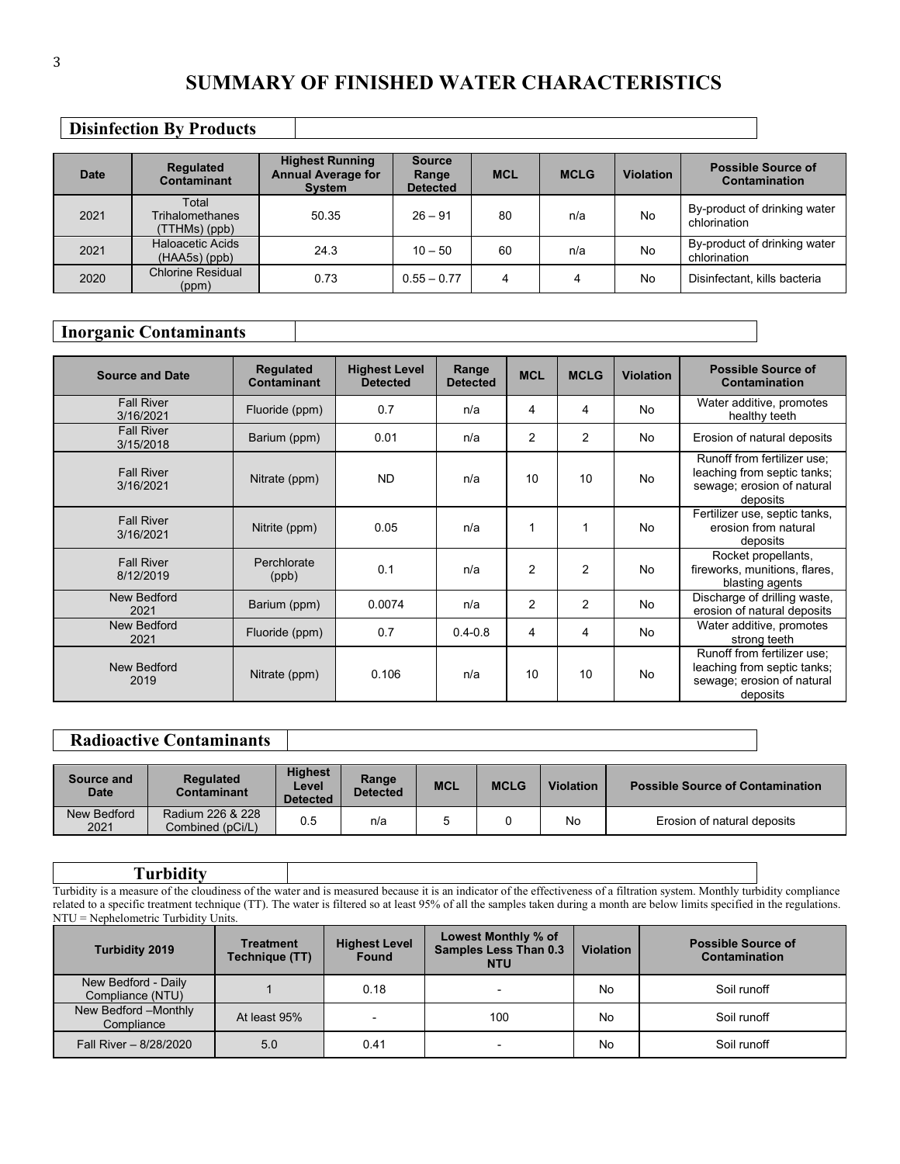# **SUMMARY OF FINISHED WATER CHARACTERISTICS**

# **Disinfection By Products**

| Date | <b>Regulated</b><br>Contaminant            | <b>Highest Running</b><br><b>Annual Average for</b><br><b>System</b> | <b>Source</b><br>Range<br><b>Detected</b> | <b>MCL</b> | <b>MCLG</b> | <b>Violation</b> | <b>Possible Source of</b><br><b>Contamination</b> |
|------|--------------------------------------------|----------------------------------------------------------------------|-------------------------------------------|------------|-------------|------------------|---------------------------------------------------|
| 2021 | Total<br>Trihalomethanes<br>(TTHMs) (ppb)  | 50.35                                                                | $26 - 91$                                 | 80         | n/a         | No               | By-product of drinking water<br>chlorination      |
| 2021 | <b>Haloacetic Acids</b><br>$(HAA5s)$ (ppb) | 24.3                                                                 | $10 - 50$                                 | 60         | n/a         | No               | By-product of drinking water<br>chlorination      |
| 2020 | <b>Chlorine Residual</b><br>(ppm)          | 0.73                                                                 | $0.55 - 0.77$                             | 4          | 4           | No               | Disinfectant, kills bacteria                      |

# **Inorganic Contaminants**

| <b>Source and Date</b>         | <b>Regulated</b><br>Contaminant | <b>Highest Level</b><br><b>Detected</b> | Range<br><b>Detected</b> | <b>MCL</b>     | <b>MCLG</b>    | <b>Violation</b> | <b>Possible Source of</b><br>Contamination                                                           |
|--------------------------------|---------------------------------|-----------------------------------------|--------------------------|----------------|----------------|------------------|------------------------------------------------------------------------------------------------------|
| <b>Fall River</b><br>3/16/2021 | Fluoride (ppm)                  | 0.7                                     | n/a                      | 4              | 4              | <b>No</b>        | Water additive, promotes<br>healthy teeth                                                            |
| <b>Fall River</b><br>3/15/2018 | Barium (ppm)                    | 0.01                                    | n/a                      | $\overline{2}$ | $\overline{2}$ | No               | Erosion of natural deposits                                                                          |
| <b>Fall River</b><br>3/16/2021 | Nitrate (ppm)                   | <b>ND</b>                               | n/a                      | 10             | 10             | <b>No</b>        | Runoff from fertilizer use:<br>leaching from septic tanks;<br>sewage; erosion of natural<br>deposits |
| <b>Fall River</b><br>3/16/2021 | Nitrite (ppm)                   | 0.05                                    | n/a                      | 1              | 1              | <b>No</b>        | Fertilizer use, septic tanks,<br>erosion from natural<br>deposits                                    |
| <b>Fall River</b><br>8/12/2019 | Perchlorate<br>(ppb)            | 0.1                                     | n/a                      | $\overline{2}$ | 2              | <b>No</b>        | Rocket propellants,<br>fireworks, munitions, flares,<br>blasting agents                              |
| New Bedford<br>2021            | Barium (ppm)                    | 0.0074                                  | n/a                      | $\overline{2}$ | $\overline{2}$ | <b>No</b>        | Discharge of drilling waste,<br>erosion of natural deposits                                          |
| New Bedford<br>2021            | Fluoride (ppm)                  | 0.7                                     | $0.4 - 0.8$              | 4              | 4              | <b>No</b>        | Water additive, promotes<br>strong teeth                                                             |
| New Bedford<br>2019            | Nitrate (ppm)                   | 0.106                                   | n/a                      | 10             | 10             | <b>No</b>        | Runoff from fertilizer use;<br>leaching from septic tanks;<br>sewage; erosion of natural<br>deposits |

# **Radioactive Contaminants**

| Source and<br><b>Date</b> | <b>Regulated</b><br>Contaminant      | <b>Highest</b><br>Level<br><b>Detected</b> | Range<br><b>Detected</b> | <b>MCL</b> | <b>MCLG</b> | <b>Violation</b> | <b>Possible Source of Contamination</b> |
|---------------------------|--------------------------------------|--------------------------------------------|--------------------------|------------|-------------|------------------|-----------------------------------------|
| New Bedford<br>2021       | Radium 226 & 228<br>Combined (pCi/L) | 0.5                                        | n/a                      |            |             | No               | Erosion of natural deposits             |

#### **Turbidity**  Turbidity is a measure of the cloudiness of the water and is measured because it is an indicator of the effectiveness of a filtration system. Monthly turbidity compliance related to a specific treatment technique (TT). The water is filtered so at least 95% of all the samples taken during a month are below limits specified in the regulations. NTU = Nephelometric Turbidity Units.

| <b>Turbidity 2019</b>                   | <b>Treatment</b><br>Technique (TT) | <b>Highest Level</b><br><b>Found</b> | Lowest Monthly % of<br><b>Samples Less Than 0.3</b><br><b>NTU</b> | <b>Violation</b> | <b>Possible Source of</b><br>Contamination |
|-----------------------------------------|------------------------------------|--------------------------------------|-------------------------------------------------------------------|------------------|--------------------------------------------|
| New Bedford - Daily<br>Compliance (NTU) |                                    | 0.18                                 |                                                                   | No               | Soil runoff                                |
| New Bedford -Monthly<br>Compliance      | At least 95%                       | $\,$                                 | 100                                                               | No               | Soil runoff                                |
| Fall River - 8/28/2020                  | 5.0                                | 0.41                                 |                                                                   | No               | Soil runoff                                |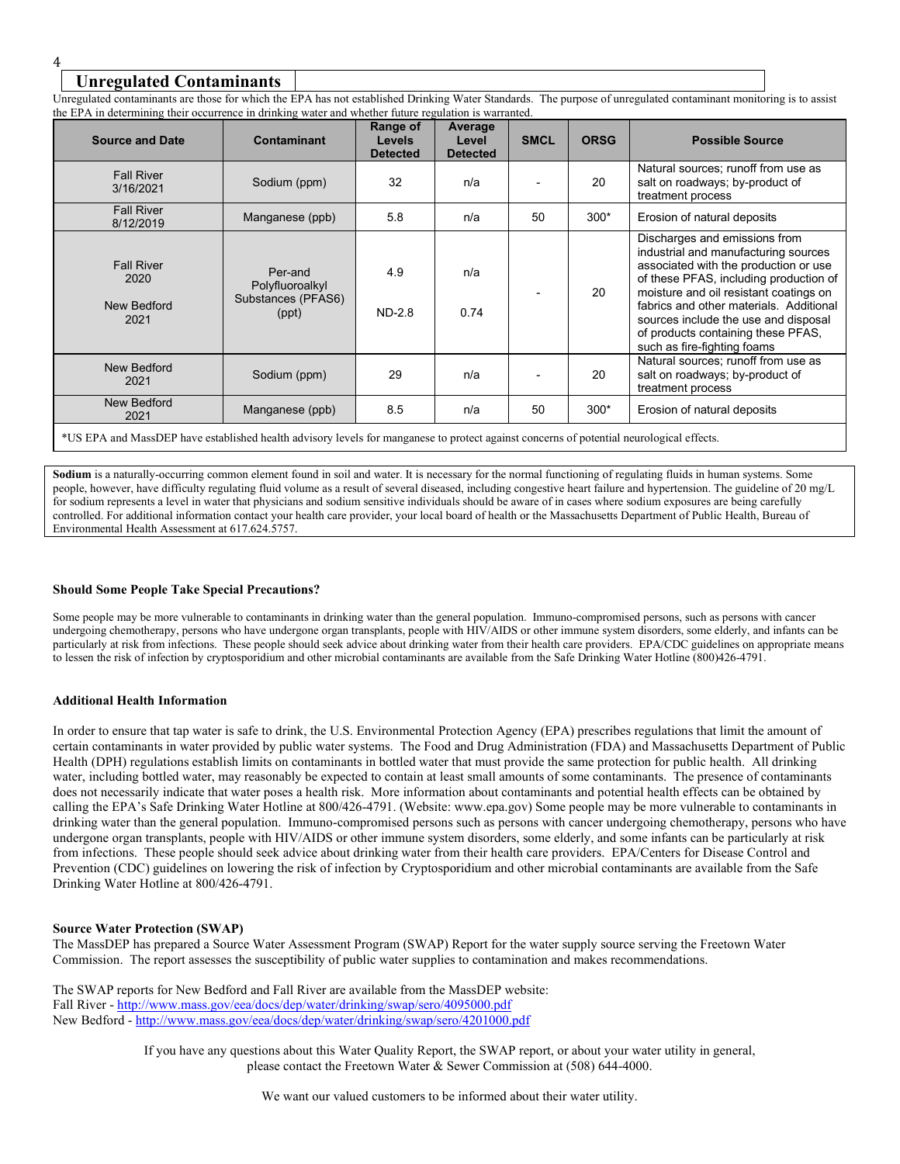# 4

# **Unregulated Contaminants**

Unregulated contaminants are those for which the EPA has not established Drinking Water Standards. The purpose of unregulated contaminant monitoring is to assist the EPA in determining their occurrence in drinking water and whether future regulation is warranted.

| <b>Source and Date</b>                           | <b>Contaminant</b>                                                                                                                       | Range of<br><b>Levels</b><br><b>Detected</b> | Average<br>Level<br><b>Detected</b> | <b>SMCL</b> | <b>ORSG</b> | <b>Possible Source</b>                                                                                                                                                                                                                                                                                                                                     |  |  |  |
|--------------------------------------------------|------------------------------------------------------------------------------------------------------------------------------------------|----------------------------------------------|-------------------------------------|-------------|-------------|------------------------------------------------------------------------------------------------------------------------------------------------------------------------------------------------------------------------------------------------------------------------------------------------------------------------------------------------------------|--|--|--|
| <b>Fall River</b><br>3/16/2021                   | Sodium (ppm)                                                                                                                             | 32                                           | n/a                                 |             | 20          | Natural sources; runoff from use as<br>salt on roadways; by-product of<br>treatment process                                                                                                                                                                                                                                                                |  |  |  |
| <b>Fall River</b><br>8/12/2019                   | Manganese (ppb)                                                                                                                          | 5.8                                          | n/a                                 | 50          | $300*$      | Erosion of natural deposits                                                                                                                                                                                                                                                                                                                                |  |  |  |
| <b>Fall River</b><br>2020<br>New Bedford<br>2021 | Per-and<br>Polyfluoroalkyl<br>Substances (PFAS6)<br>(ppt)                                                                                | 4.9<br><b>ND-2.8</b>                         | n/a<br>0.74                         |             | 20          | Discharges and emissions from<br>industrial and manufacturing sources<br>associated with the production or use<br>of these PFAS, including production of<br>moisture and oil resistant coatings on<br>fabrics and other materials. Additional<br>sources include the use and disposal<br>of products containing these PFAS,<br>such as fire-fighting foams |  |  |  |
| New Bedford<br>2021                              | Sodium (ppm)                                                                                                                             | 29                                           | n/a                                 |             | 20          | Natural sources; runoff from use as<br>salt on roadways; by-product of<br>treatment process                                                                                                                                                                                                                                                                |  |  |  |
| New Bedford<br>2021                              | Manganese (ppb)                                                                                                                          | 8.5                                          | n/a                                 | 50          | $300*$      | Erosion of natural deposits                                                                                                                                                                                                                                                                                                                                |  |  |  |
|                                                  | *US EPA and MassDEP have established health advisory levels for manganese to protect against concerns of potential neurological effects. |                                              |                                     |             |             |                                                                                                                                                                                                                                                                                                                                                            |  |  |  |

Sodium is a naturally-occurring common element found in soil and water. It is necessary for the normal functioning of regulating fluids in human systems. Some people, however, have difficulty regulating fluid volume as a result of several diseased, including congestive heart failure and hypertension. The guideline of 20 mg/L for sodium represents a level in water that physicians and sodium sensitive individuals should be aware of in cases where sodium exposures are being carefully controlled. For additional information contact your health care provider, your local board of health or the Massachusetts Department of Public Health, Bureau of Environmental Health Assessment at 617.624.5757.

#### **Should Some People Take Special Precautions?**

Some people may be more vulnerable to contaminants in drinking water than the general population. Immuno-compromised persons, such as persons with cancer undergoing chemotherapy, persons who have undergone organ transplants, people with HIV/AIDS or other immune system disorders, some elderly, and infants can be particularly at risk from infections. These people should seek advice about drinking water from their health care providers. EPA/CDC guidelines on appropriate means to lessen the risk of infection by cryptosporidium and other microbial contaminants are available from the Safe Drinking Water Hotline (800)426-4791.

#### **Additional Health Information**

In order to ensure that tap water is safe to drink, the U.S. Environmental Protection Agency (EPA) prescribes regulations that limit the amount of certain contaminants in water provided by public water systems. The Food and Drug Administration (FDA) and Massachusetts Department of Public Health (DPH) regulations establish limits on contaminants in bottled water that must provide the same protection for public health. All drinking water, including bottled water, may reasonably be expected to contain at least small amounts of some contaminants. The presence of contaminants does not necessarily indicate that water poses a health risk. More information about contaminants and potential health effects can be obtained by calling the EPA's Safe Drinking Water Hotline at 800/426-4791. (Website: www.epa.gov) Some people may be more vulnerable to contaminants in drinking water than the general population. Immuno-compromised persons such as persons with cancer undergoing chemotherapy, persons who have undergone organ transplants, people with HIV/AIDS or other immune system disorders, some elderly, and some infants can be particularly at risk from infections. These people should seek advice about drinking water from their health care providers. EPA/Centers for Disease Control and Prevention (CDC) guidelines on lowering the risk of infection by Cryptosporidium and other microbial contaminants are available from the Safe Drinking Water Hotline at 800/426-4791.

#### **Source Water Protection (SWAP)**

The MassDEP has prepared a Source Water Assessment Program (SWAP) Report for the water supply source serving the Freetown Water Commission. The report assesses the susceptibility of public water supplies to contamination and makes recommendations.

The SWAP reports for New Bedford and Fall River are available from the MassDEP website: Fall River - http://www.mass.gov/eea/docs/dep/water/drinking/swap/sero/4095000.pdf New Bedford - http://www.mass.gov/eea/docs/dep/water/drinking/swap/sero/4201000.pdf

> If you have any questions about this Water Quality Report, the SWAP report, or about your water utility in general, please contact the Freetown Water & Sewer Commission at (508) 644-4000.